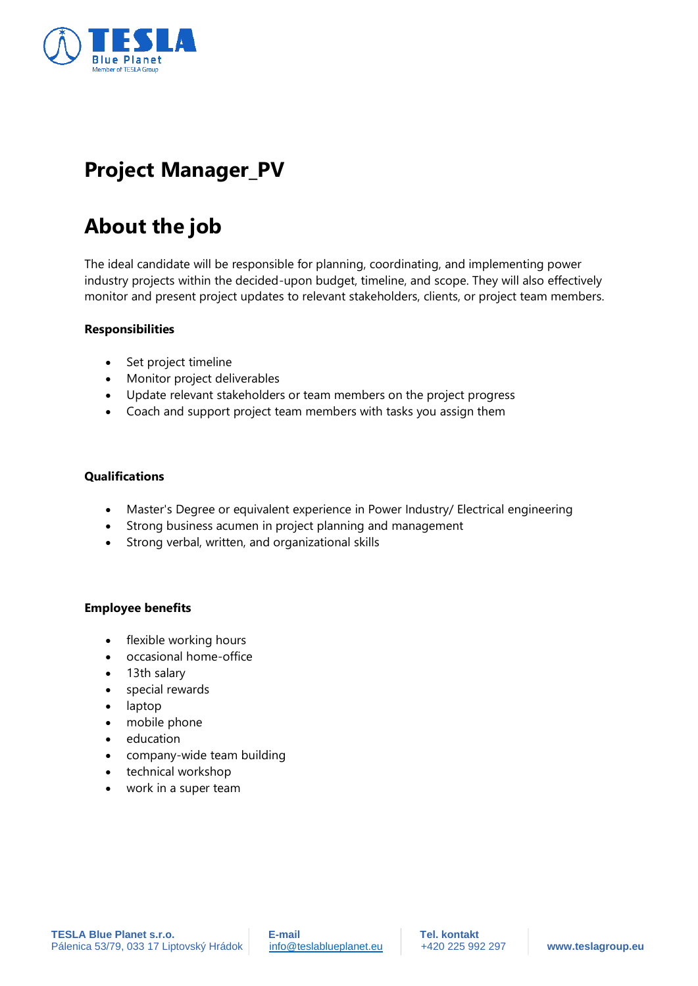

# **Project Manager\_PV**

# **About the job**

The ideal candidate will be responsible for planning, coordinating, and implementing power industry projects within the decided-upon budget, timeline, and scope. They will also effectively monitor and present project updates to relevant stakeholders, clients, or project team members.

### **Responsibilities**

- Set project timeline
- Monitor project deliverables
- Update relevant stakeholders or team members on the project progress
- Coach and support project team members with tasks you assign them

#### **Qualifications**

- Master's Degree or equivalent experience in Power Industry/ Electrical engineering
- Strong business acumen in project planning and management
- Strong verbal, written, and organizational skills

#### **Employee benefits**

- flexible working hours
- occasional home-office
- 13th salary
- special rewards
- laptop
- mobile phone
- education
- company-wide team building
- technical workshop
- work in a super team